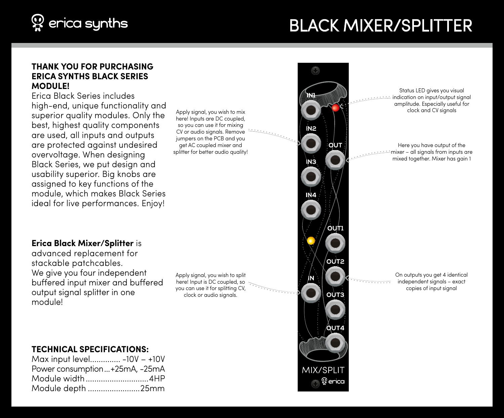

# Black Mixer/Splitter

#### **THANK YOU FOR PURCHASING ERICA SYNTHS BLACK SERIES MODULE!**

Erica Black Series includes high‑end, unique functionality and superior quality modules. Only the best, highest quality components are used, all inputs and outputs are protected against undesired overvoltage. When designing Black Series, we put design and usability superior. Big knobs are assigned to key functions of the module, which makes Black Series ideal for live performances. Enjoy!

Apply signal, you wish to mix here! Inputs are DC coupled, so you can use it for mixing CV or audio signals. Remove jumpers on the PCB and you get AC coupled mixer and splitter for better audio quality!



Status LED gives you visual indication on input/output signal amplitude. Especially useful for clock and CV signals

Here you have output of the mixer – all signals from inputs are mixed together. Mixer has gain 1

#### **Erica Black Mixer/Splitter** is

advanced replacement for stackable patchcables. We give you four independent buffered input mixer and buffered output signal splitter in one module!

Apply signal, you wish to split here! Input is DC coupled, so you can use it for splitting CV, clock or audio signals.

#### On outputs you get 4 identical independent signals – exact copies of input signal

## **TECHNICAL SPECIFICATIONS:**

| Max input level -10V - +10V   |  |
|-------------------------------|--|
| Power consumption+25mA, -25mA |  |
| Module width4HP               |  |
| Module depth 25mm             |  |